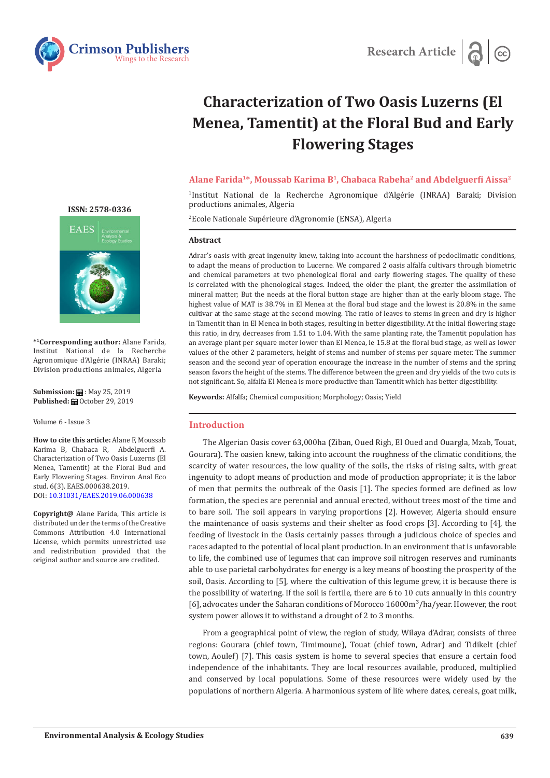



# **Characterization of Two Oasis Luzerns (El Menea, Tamentit) at the Floral Bud and Early Flowering Stages**

## **Alane Farida1\*, Moussab Karima B1, Chabaca Rabeha2 and Abdelguerfi Aissa<sup>2</sup>**

1 Institut National de la Recherche Agronomique d'Algérie (INRAA) Baraki; Division productions animales, Algeria

2 Ecole Nationale Supérieure d'Agronomie (ENSA), Algeria

#### **Abstract**

Adrar's oasis with great ingenuity knew, taking into account the harshness of pedoclimatic conditions, to adapt the means of production to Lucerne. We compared 2 oasis alfalfa cultivars through biometric and chemical parameters at two phenological floral and early flowering stages. The quality of these is correlated with the phenological stages. Indeed, the older the plant, the greater the assimilation of mineral matter; But the needs at the floral button stage are higher than at the early bloom stage. The highest value of MAT is 38.7% in El Menea at the floral bud stage and the lowest is 20.8% in the same cultivar at the same stage at the second mowing. The ratio of leaves to stems in green and dry is higher in Tamentit than in El Menea in both stages, resulting in better digestibility. At the initial flowering stage this ratio, in dry, decreases from 1.51 to 1.04. With the same planting rate, the Tamentit population has an average plant per square meter lower than El Menea, ie 15.8 at the floral bud stage, as well as lower values of the other 2 parameters, height of stems and number of stems per square meter. The summer season and the second year of operation encourage the increase in the number of stems and the spring season favors the height of the stems. The difference between the green and dry yields of the two cuts is not significant. So, alfalfa El Menea is more productive than Tamentit which has better digestibility.

**Keywords:** Alfalfa; Chemical composition; Morphology; Oasis; Yield

## **Introduction**

The Algerian Oasis cover 63,000ha (Ziban, Oued Righ, El Oued and Ouargla, Mzab, Touat, Gourara). The oasien knew, taking into account the roughness of the climatic conditions, the scarcity of water resources, the low quality of the soils, the risks of rising salts, with great ingenuity to adopt means of production and mode of production appropriate; it is the labor of men that permits the outbreak of the Oasis [1]. The species formed are defined as low formation, the species are perennial and annual erected, without trees most of the time and to bare soil. The soil appears in varying proportions [2]. However, Algeria should ensure the maintenance of oasis systems and their shelter as food crops [3]. According to [4], the feeding of livestock in the Oasis certainly passes through a judicious choice of species and races adapted to the potential of local plant production. In an environment that is unfavorable to life, the combined use of legumes that can improve soil nitrogen reserves and ruminants able to use parietal carbohydrates for energy is a key means of boosting the prosperity of the soil, Oasis. According to [5], where the cultivation of this legume grew, it is because there is the possibility of watering. If the soil is fertile, there are 6 to 10 cuts annually in this country [6], advocates under the Saharan conditions of Morocco  $16000\,\mathrm{m}^3/\mathrm{ha}/\mathrm{year}$ . However, the root system power allows it to withstand a drought of 2 to 3 months.

From a geographical point of view, the region of study, Wilaya d'Adrar, consists of three regions: Gourara (chief town, Timimoune), Touat (chief town, Adrar) and Tidikelt (chief town, Aoulef) [7]. This oasis system is home to several species that ensure a certain food independence of the inhabitants. They are local resources available, produced, multiplied and conserved by local populations. Some of these resources were widely used by the populations of northern Algeria. A harmonious system of life where dates, cereals, goat milk,

## **[ISSN: 2578-0336](https://www.crimsonpublishers.com/eaes/)**



**\*1Corresponding author:** Alane Farida, Institut National de la Recherche Agronomique d'Algérie (INRAA) Baraki; Division productions animales, Algeria

**Submission:** : May 25, 2019 Published: **■** October 29, 2019

Volume 6 - Issue 3

**How to cite this article:** Alane F, Moussab Karima B, Chabaca R, Abdelguerfi A. Characterization of Two Oasis Luzerns (El Menea, Tamentit) at the Floral Bud and Early Flowering Stages. Environ Anal Eco stud. 6(3). EAES.000638.2019. DOI: [10.31031/EAES.2019.06.000](http://dx.doi.org/10.31031/EAES.2019.06.000638)638

**Copyright@** Alane Farida, This article is distributed under the terms of the Creative Commons Attribution 4.0 International License, which permits unrestricted use and redistribution provided that the original author and source are credited.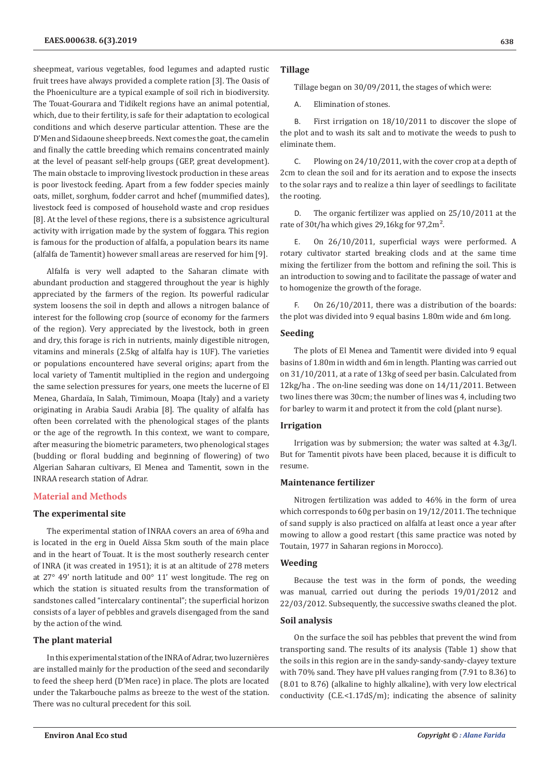sheepmeat, various vegetables, food legumes and adapted rustic fruit trees have always provided a complete ration [3]. The Oasis of the Phoeniculture are a typical example of soil rich in biodiversity. The Touat-Gourara and Tidikelt regions have an animal potential, which, due to their fertility, is safe for their adaptation to ecological conditions and which deserve particular attention. These are the D'Men and Sidaoune sheep breeds. Next comes the goat, the camelin and finally the cattle breeding which remains concentrated mainly at the level of peasant self-help groups (GEP, great development). The main obstacle to improving livestock production in these areas is poor livestock feeding. Apart from a few fodder species mainly oats, millet, sorghum, fodder carrot and hchef (mummified dates), livestock feed is composed of household waste and crop residues [8]. At the level of these regions, there is a subsistence agricultural activity with irrigation made by the system of foggara. This region is famous for the production of alfalfa, a population bears its name (alfalfa de Tamentit) however small areas are reserved for him [9].

Alfalfa is very well adapted to the Saharan climate with abundant production and staggered throughout the year is highly appreciated by the farmers of the region. Its powerful radicular system loosens the soil in depth and allows a nitrogen balance of interest for the following crop (source of economy for the farmers of the region). Very appreciated by the livestock, both in green and dry, this forage is rich in nutrients, mainly digestible nitrogen, vitamins and minerals (2.5kg of alfalfa hay is 1UF). The varieties or populations encountered have several origins; apart from the local variety of Tamentit multiplied in the region and undergoing the same selection pressures for years, one meets the lucerne of El Menea, Ghardaïa, In Salah, Timimoun, Moapa (Italy) and a variety originating in Arabia Saudi Arabia [8]. The quality of alfalfa has often been correlated with the phenological stages of the plants or the age of the regrowth. In this context, we want to compare, after measuring the biometric parameters, two phenological stages (budding or floral budding and beginning of flowering) of two Algerian Saharan cultivars, El Menea and Tamentit, sown in the INRAA research station of Adrar.

## **Material and Methods**

#### **The experimental site**

The experimental station of INRAA covers an area of 69ha and is located in the erg in Oueld Aïssa 5km south of the main place and in the heart of Touat. It is the most southerly research center of INRA (it was created in 1951); it is at an altitude of 278 meters at 27° 49' north latitude and 00° 11' west longitude. The reg on which the station is situated results from the transformation of sandstones called "intercalary continental"; the superficial horizon consists of a layer of pebbles and gravels disengaged from the sand by the action of the wind.

## **The plant material**

In this experimental station of the INRA of Adrar, two luzernières are installed mainly for the production of the seed and secondarily to feed the sheep herd (D'Men race) in place. The plots are located under the Takarbouche palms as breeze to the west of the station. There was no cultural precedent for this soil.

## **Tillage**

Tillage began on 30/09/2011, the stages of which were:

A. Elimination of stones.

B. First irrigation on 18/10/2011 to discover the slope of the plot and to wash its salt and to motivate the weeds to push to eliminate them.

C. Plowing on 24/10/2011, with the cover crop at a depth of 2cm to clean the soil and for its aeration and to expose the insects to the solar rays and to realize a thin layer of seedlings to facilitate the rooting.

D. The organic fertilizer was applied on 25/10/2011 at the rate of 30t/ha which gives 29,16kg for 97,2m².

E. On 26/10/2011, superficial ways were performed. A rotary cultivator started breaking clods and at the same time mixing the fertilizer from the bottom and refining the soil. This is an introduction to sowing and to facilitate the passage of water and to homogenize the growth of the forage.

F. On 26/10/2011, there was a distribution of the boards: the plot was divided into 9 equal basins 1.80m wide and 6m long.

#### **Seeding**

The plots of El Menea and Tamentit were divided into 9 equal basins of 1.80m in width and 6m in length. Planting was carried out on 31/10/2011, at a rate of 13kg of seed per basin. Calculated from 12kg/ha . The on-line seeding was done on 14/11/2011. Between two lines there was 30cm; the number of lines was 4, including two for barley to warm it and protect it from the cold (plant nurse).

# **Irrigation**

Irrigation was by submersion; the water was salted at 4.3g/l. But for Tamentit pivots have been placed, because it is difficult to resume.

# **Maintenance fertilizer**

Nitrogen fertilization was added to 46% in the form of urea which corresponds to 60g per basin on 19/12/2011. The technique of sand supply is also practiced on alfalfa at least once a year after mowing to allow a good restart (this same practice was noted by Toutain, 1977 in Saharan regions in Morocco).

## **Weeding**

Because the test was in the form of ponds, the weeding was manual, carried out during the periods 19/01/2012 and 22/03/2012. Subsequently, the successive swaths cleaned the plot.

## **Soil analysis**

On the surface the soil has pebbles that prevent the wind from transporting sand. The results of its analysis (Table 1) show that the soils in this region are in the sandy-sandy-sandy-clayey texture with 70% sand. They have pH values ranging from (7.91 to 8.36) to (8.01 to 8.76) (alkaline to highly alkaline), with very low electrical conductivity  $(C.E. < 1.17dS/m)$ ; indicating the absence of salinity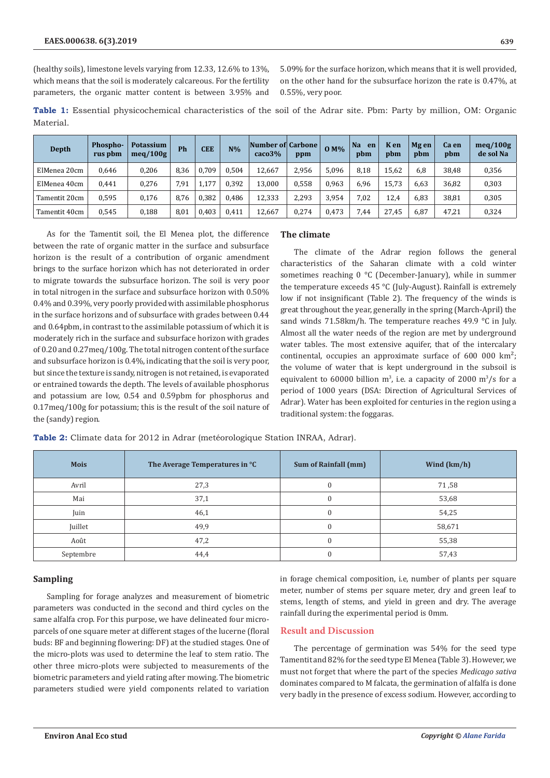(healthy soils), limestone levels varying from 12.33, 12.6% to 13%, which means that the soil is moderately calcareous. For the fertility parameters, the organic matter content is between 3.95% and

5.09% for the surface horizon, which means that it is well provided, on the other hand for the subsurface horizon the rate is 0.47%, at 0.55%, very poor.

**Table 1:** Essential physicochemical characteristics of the soil of the Adrar site. Pbm: Party by million, OM: Organic Material.

| Depth         | <b>Phospho-</b><br>rus pbm | <b>Potassium</b><br>meq/100g | Ph   | <b>CEE</b> | $N\%$ | Number of Carbone<br>$\cos 3\%$ | ppm   | $0 M\%$ | <b>Na</b><br>en<br>pbm | K en<br>pbm | Mg en<br>pbm | Ca en<br>pbm | meq/100g<br>de sol Na |
|---------------|----------------------------|------------------------------|------|------------|-------|---------------------------------|-------|---------|------------------------|-------------|--------------|--------------|-----------------------|
| ElMenea 20cm  | 0.646                      | 0.206                        | 8,36 | 0.709      | 0.504 | 12.667                          | 2,956 | 5,096   | 8.18                   | 15.62       | 6,8          | 38,48        | 0,356                 |
| ElMenea 40cm  | 0.441                      | 0.276                        | 7.91 | 1,177      | 0.392 | 13.000                          | 0,558 | 0,963   | 6.96                   | 15.73       | 6.63         | 36,82        | 0,303                 |
| Tamentit 20cm | 0,595                      | 0,176                        | 8.76 | 0,382      | 0.486 | 12.333                          | 2,293 | 3,954   | 7.02                   | 12,4        | 6,83         | 38,81        | 0,305                 |
| Tamentit 40cm | 0,545                      | 0,188                        | 8,01 | 0,403      | 0,411 | 12,667                          | 0,274 | 0,473   | 7,44                   | 27,45       | 6,87         | 47,21        | 0,324                 |

As for the Tamentit soil, the El Menea plot, the difference between the rate of organic matter in the surface and subsurface horizon is the result of a contribution of organic amendment brings to the surface horizon which has not deteriorated in order to migrate towards the subsurface horizon. The soil is very poor in total nitrogen in the surface and subsurface horizon with 0.50% 0.4% and 0.39%, very poorly provided with assimilable phosphorus in the surface horizons and of subsurface with grades between 0.44 and 0.64pbm, in contrast to the assimilable potassium of which it is moderately rich in the surface and subsurface horizon with grades of 0.20 and 0.27meq/100g. The total nitrogen content of the surface and subsurface horizon is 0.4%, indicating that the soil is very poor, but since the texture is sandy, nitrogen is not retained, is evaporated or entrained towards the depth. The levels of available phosphorus and potassium are low, 0.54 and 0.59pbm for phosphorus and 0.17meq/100g for potassium; this is the result of the soil nature of the (sandy) region.

# **The climate**

The climate of the Adrar region follows the general characteristics of the Saharan climate with a cold winter sometimes reaching 0 °C (December-January), while in summer the temperature exceeds 45 °C (July-August). Rainfall is extremely low if not insignificant (Table 2). The frequency of the winds is great throughout the year, generally in the spring (March-April) the sand winds 71.58km/h. The temperature reaches 49.9 °C in July. Almost all the water needs of the region are met by underground water tables. The most extensive aquifer, that of the intercalary continental, occupies an approximate surface of  $600\,000\,km^2$ ; the volume of water that is kept underground in the subsoil is equivalent to  $60000$  billion m<sup>3</sup>, i.e. a capacity of  $2000 \text{ m}^3/\text{s}$  for a period of 1000 years (DSA: Direction of Agricultural Services of Adrar). Water has been exploited for centuries in the region using a traditional system: the foggaras.

| <b>Mois</b> | The Average Temperatures in °C | Sum of Rainfall (mm) | Wind $(km/h)$ |
|-------------|--------------------------------|----------------------|---------------|
| Avril       | 27,3                           | 0                    | 71,58         |
| Mai         | 37,1                           |                      | 53,68         |
| Juin        | 46,1                           | 0                    | 54,25         |
| Juillet     | 49,9                           | 0                    | 58,671        |
| Août        | 47,2                           | 0                    | 55,38         |
| Septembre   | 44,4                           |                      | 57,43         |

**Table 2:** Climate data for 2012 in Adrar (metéorologique Station INRAA, Adrar).

## **Sampling**

Sampling for forage analyzes and measurement of biometric parameters was conducted in the second and third cycles on the same alfalfa crop. For this purpose, we have delineated four microparcels of one square meter at different stages of the lucerne (floral buds: BF and beginning flowering: DF) at the studied stages. One of the micro-plots was used to determine the leaf to stem ratio. The other three micro-plots were subjected to measurements of the biometric parameters and yield rating after mowing. The biometric parameters studied were yield components related to variation

in forage chemical composition, i.e, number of plants per square meter, number of stems per square meter, dry and green leaf to stems, length of stems, and yield in green and dry. The average rainfall during the experimental period is 0mm.

# **Result and Discussion**

The percentage of germination was 54% for the seed type Tamentit and 82% for the seed type El Menea (Table 3). However, we must not forget that where the part of the species *Medicago sativa* dominates compared to M falcata, the germination of alfalfa is done very badly in the presence of excess sodium. However, according to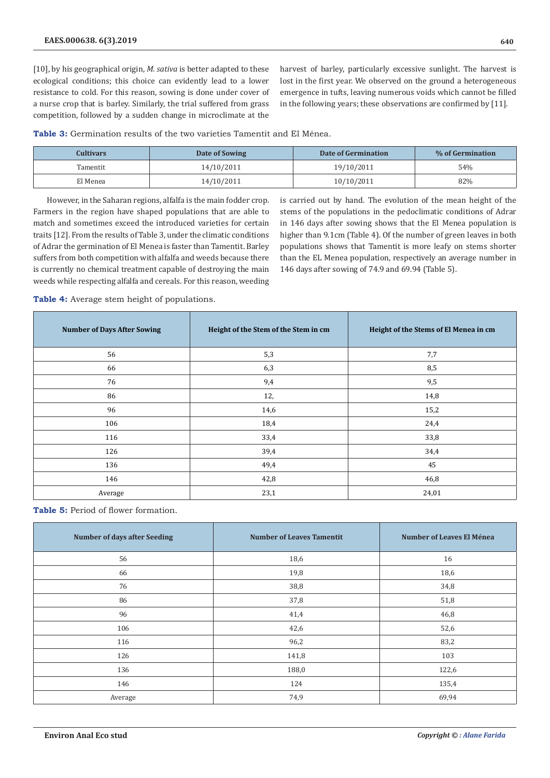[10], by his geographical origin, *M. sativa* is better adapted to these ecological conditions; this choice can evidently lead to a lower resistance to cold. For this reason, sowing is done under cover of a nurse crop that is barley. Similarly, the trial suffered from grass competition, followed by a sudden change in microclimate at the

harvest of barley, particularly excessive sunlight. The harvest is lost in the first year. We observed on the ground a heterogeneous emergence in tufts, leaving numerous voids which cannot be filled in the following years; these observations are confirmed by [11].

**Table 3:** Germination results of the two varieties Tamentit and El Ménea.

| <b>Cultivars</b> | Date of Sowing | Date of Germination | % of Germination |
|------------------|----------------|---------------------|------------------|
| <b>Tamentit</b>  | 14/10/2011     | 19/10/2011          | 54%              |
| El Menea         | 14/10/2011     | 10/10/2011          | 82%              |

However, in the Saharan regions, alfalfa is the main fodder crop. Farmers in the region have shaped populations that are able to match and sometimes exceed the introduced varieties for certain traits [12]. From the results of Table 3, under the climatic conditions of Adrar the germination of El Menea is faster than Tamentit. Barley suffers from both competition with alfalfa and weeds because there is currently no chemical treatment capable of destroying the main weeds while respecting alfalfa and cereals. For this reason, weeding

is carried out by hand. The evolution of the mean height of the stems of the populations in the pedoclimatic conditions of Adrar in 146 days after sowing shows that the El Menea population is higher than 9.1cm (Table 4). Of the number of green leaves in both populations shows that Tamentit is more leafy on stems shorter than the EL Menea population, respectively an average number in 146 days after sowing of 74.9 and 69.94 (Table 5).

**Table 4:** Average stem height of populations.

| <b>Number of Days After Sowing</b> | Height of the Stem of the Stem in cm | Height of the Stems of El Menea in cm |
|------------------------------------|--------------------------------------|---------------------------------------|
| 56                                 | 5,3                                  | 7,7                                   |
| 66                                 | 6,3                                  | 8,5                                   |
| 76                                 | 9,4                                  | 9,5                                   |
| 86                                 | 12,                                  | 14,8                                  |
| 96                                 | 14,6                                 | 15,2                                  |
| 106                                | 18,4                                 | 24,4                                  |
| 116                                | 33,4                                 | 33,8                                  |
| 126                                | 39,4                                 | 34,4                                  |
| 136                                | 49,4                                 | 45                                    |
| 146                                | 42,8                                 | 46,8                                  |
| Average                            | 23,1                                 | 24,01                                 |

**Table 5:** Period of flower formation.

| <b>Number of days after Seeding</b> | <b>Number of Leaves Tamentit</b> | <b>Number of Leaves El Ménea</b> |
|-------------------------------------|----------------------------------|----------------------------------|
| 56                                  | 18,6                             | 16                               |
| 66                                  | 19,8                             | 18,6                             |
| 76                                  | 38,8                             | 34,8                             |
| 86                                  | 37,8                             | 51,8                             |
| 96                                  | 41,4                             | 46,8                             |
| 106                                 | 42,6                             | 52,6                             |
| 116                                 | 96,2                             | 83,2                             |
| 126                                 | 141,8                            | 103                              |
| 136                                 | 188,0                            | 122,6                            |
| 146                                 | 124                              | 135,4                            |
| Average                             | 74,9                             | 69,94                            |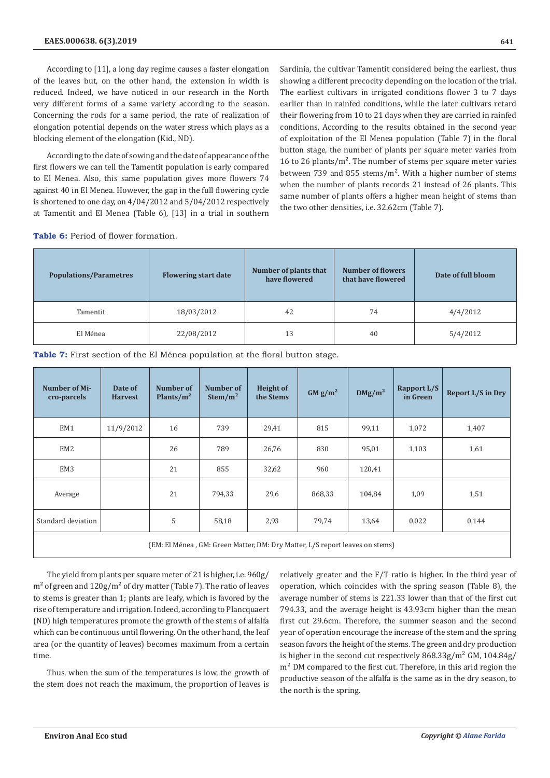According to [11], a long day regime causes a faster elongation of the leaves but, on the other hand, the extension in width is reduced. Indeed, we have noticed in our research in the North very different forms of a same variety according to the season. Concerning the rods for a same period, the rate of realization of elongation potential depends on the water stress which plays as a blocking element of the elongation (Kid., ND).

According to the date of sowing and the date of appearance of the first flowers we can tell the Tamentit population is early compared to El Menea. Also, this same population gives more flowers 74 against 40 in El Menea. However, the gap in the full flowering cycle is shortened to one day, on 4/04/2012 and 5/04/2012 respectively at Tamentit and El Menea (Table 6), [13] in a trial in southern

Sardinia, the cultivar Tamentit considered being the earliest, thus showing a different precocity depending on the location of the trial. The earliest cultivars in irrigated conditions flower 3 to 7 days earlier than in rainfed conditions, while the later cultivars retard their flowering from 10 to 21 days when they are carried in rainfed conditions. According to the results obtained in the second year of exploitation of the El Menea population (Table 7) in the floral button stage, the number of plants per square meter varies from 16 to 26 plants/m². The number of stems per square meter varies between 739 and 855 stems/ $m<sup>2</sup>$ . With a higher number of stems when the number of plants records 21 instead of 26 plants. This same number of plants offers a higher mean height of stems than the two other densities, i.e. 32.62cm (Table 7).

Table 6: Period of flower formation.

| <b>Flowering start date</b><br><b>Populations/Parametres</b> |            | Number of plants that<br>have flowered | <b>Number of flowers</b><br>that have flowered | Date of full bloom |
|--------------------------------------------------------------|------------|----------------------------------------|------------------------------------------------|--------------------|
| Tamentit                                                     | 18/03/2012 | 42                                     | 74                                             | 4/4/2012           |
| El Ménea                                                     | 22/08/2012 | 13                                     | 40                                             | 5/4/2012           |

**Table 7:** First section of the El Ménea population at the floral button stage.

| Number of Mi-<br>cro-parcels                                                 | Date of<br><b>Harvest</b> | Number of<br>Plants/ $m^2$ | Number of<br>Stem/m <sup>2</sup> | <b>Height of</b><br>the Stems | GM g/m <sup>2</sup> | $DMg/m^2$ | Rapport L/S<br>in Green | Report L/S in Dry |
|------------------------------------------------------------------------------|---------------------------|----------------------------|----------------------------------|-------------------------------|---------------------|-----------|-------------------------|-------------------|
| EM1                                                                          | 11/9/2012                 | 16                         | 739                              | 29,41                         | 815                 | 99,11     | 1,072                   | 1,407             |
| EM <sub>2</sub>                                                              |                           | 26                         | 789                              | 26,76                         | 830                 | 95,01     | 1,103                   | 1,61              |
| EM3                                                                          |                           | 21                         | 855                              | 32,62                         | 960                 | 120,41    |                         |                   |
| Average                                                                      |                           | 21                         | 794,33                           | 29,6                          | 868,33              | 104,84    | 1,09                    | 1,51              |
| Standard deviation                                                           |                           | 5                          | 58,18                            | 2,93                          | 79,74               | 13,64     | 0,022                   | 0,144             |
| (EM: El Ménea, GM: Green Matter, DM: Dry Matter, L/S report leaves on stems) |                           |                            |                                  |                               |                     |           |                         |                   |

The yield from plants per square meter of 21 is higher, i.e. 960g/  $m<sup>2</sup>$  of green and  $120g/m<sup>2</sup>$  of dry matter (Table 7). The ratio of leaves to stems is greater than 1; plants are leafy, which is favored by the rise of temperature and irrigation. Indeed, according to Plancquaert (ND) high temperatures promote the growth of the stems of alfalfa which can be continuous until flowering. On the other hand, the leaf area (or the quantity of leaves) becomes maximum from a certain time.

Thus, when the sum of the temperatures is low, the growth of the stem does not reach the maximum, the proportion of leaves is

relatively greater and the F/T ratio is higher. In the third year of operation, which coincides with the spring season (Table 8), the average number of stems is 221.33 lower than that of the first cut 794.33, and the average height is 43.93cm higher than the mean first cut 29.6cm. Therefore, the summer season and the second year of operation encourage the increase of the stem and the spring season favors the height of the stems. The green and dry production is higher in the second cut respectively  $868.33g/m^2$  GM,  $104.84g/m$ m<sup>2</sup> DM compared to the first cut. Therefore, in this arid region the productive season of the alfalfa is the same as in the dry season, to the north is the spring.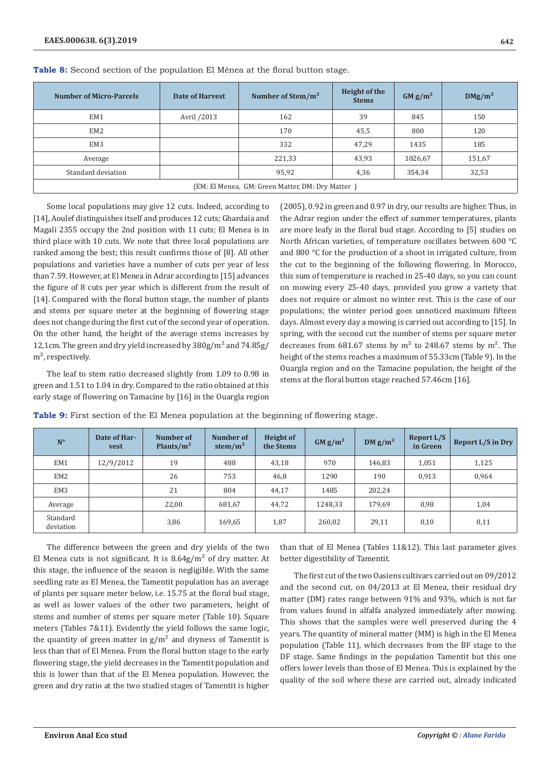| <b>Number of Micro-Parcels</b>                   | Date of Harvest | Number of Stem/ $m^2$ | Height of the<br><b>Stems</b> | GM g/m <sup>2</sup> | $DMg/m^2$ |  |  |
|--------------------------------------------------|-----------------|-----------------------|-------------------------------|---------------------|-----------|--|--|
| EM1                                              | Avril /2013     | 162                   | 39                            | 845                 | 150       |  |  |
| EM <sub>2</sub>                                  |                 | 170                   | 45,5                          | 800                 | 120       |  |  |
| EM <sub>3</sub>                                  |                 | 332                   | 47,29                         | 1435                | 185       |  |  |
| Average                                          |                 | 221,33                | 43,93                         | 1026,67             | 151,67    |  |  |
| Standard deviation                               |                 | 95,92                 | 4,36                          | 354,34              | 32,53     |  |  |
| (EM: El Menea, GM: Green Matter, DM: Dry Matter) |                 |                       |                               |                     |           |  |  |

Table 8: Second section of the population El Ménea at the floral button stage.

Some local populations may give 12 cuts. Indeed, according to [14], Aoulef distinguishes itself and produces 12 cuts; Ghardaïa and Magali 2355 occupy the 2nd position with 11 cuts; El Menea is in third place with 10 cuts. We note that three local populations are ranked among the best; this result confirms those of [8]. All other populations and varieties have a number of cuts per year of less than 7.59. However, at El Menea in Adrar according to [15] advances the figure of 8 cuts per year which is different from the result of [14]. Compared with the floral button stage, the number of plants and stems per square meter at the beginning of flowering stage does not change during the first cut of the second year of operation. On the other hand, the height of the average stems increases by 12,1cm. The green and dry yield increased by 380g/m² and 74.85g/ m<sup>2</sup>, respectively.

The leaf to stem ratio decreased slightly from 1.09 to 0.98 in green and 1.51 to 1.04 in dry. Compared to the ratio obtained at this early stage of flowering on Tamacine by [16] in the Ouargla region (2005), 0.92 in green and 0.97 in dry, our results are higher. Thus, in the Adrar region under the effect of summer temperatures, plants are more leafy in the floral bud stage. According to [5] studies on North African varieties, of temperature oscillates between 600 °C and 800 °C for the production of a shoot in irrigated culture, from the cut to the beginning of the following flowering. In Morocco, this sum of temperature is reached in 25-40 days, so you can count on mowing every 25-40 days, provided you grow a variety that does not require or almost no winter rest. This is the case of our populations; the winter period goes unnoticed maximum fifteen days. Almost every day a mowing is carried out according to [15]. In spring, with the second cut the number of stems per square meter decreases from  $681.67$  stems by m<sup>2</sup> to 248.67 stems by m<sup>2</sup>. The height of the stems reaches a maximum of 55.33cm (Table 9). In the Ouargla region and on the Tamacine population, the height of the stems at the floral button stage reached 57.46cm [16].

| $N^{\circ}$           | Date of Har-<br><b>vest</b> | Number of<br>Plants/ $m^2$ | Number of<br>stem/ $m^2$ | <b>Height of</b><br>the Stems | GM g/m <sup>2</sup> | DM $g/m^2$ | Report L/S<br>in Green | <b>Report L/S in Dry</b> |
|-----------------------|-----------------------------|----------------------------|--------------------------|-------------------------------|---------------------|------------|------------------------|--------------------------|
| EM1                   | 12/9/2012                   | 19                         | 488                      | 43,18                         | 970                 | 146,83     | 1,051                  | 1,125                    |
| EM <sub>2</sub>       |                             | 26                         | 753                      | 46,8                          | 1290                | 190        | 0,913                  | 0,964                    |
| EM <sub>3</sub>       |                             | 21                         | 804                      | 44,17                         | 1485                | 202,24     |                        |                          |
| Average               |                             | 22,00                      | 681,67                   | 44,72                         | 1248,33             | 179,69     | 0,98                   | 1,04                     |
| Standard<br>deviation |                             | 3,86                       | 169,65                   | 1,87                          | 260,02              | 29,11      | 0,10                   | 0,11                     |

**Table 9:** First section of the El Menea population at the beginning of flowering stage.

The difference between the green and dry yields of the two El Menea cuts is not significant. It is  $8.64g/m<sup>2</sup>$  of dry matter. At this stage, the influence of the season is negligible. With the same seedling rate as El Menea, the Tamentit population has an average of plants per square meter below, i.e. 15.75 at the floral bud stage, as well as lower values of the other two parameters, height of stems and number of stems per square meter (Table 10). Square meters (Tables 7&11). Evidently the yield follows the same logic, the quantity of green matter in  $g/m^2$  and dryness of Tamentit is less than that of El Menea. From the floral button stage to the early flowering stage, the yield decreases in the Tamentit population and this is lower than that of the El Menea population. However, the green and dry ratio at the two studied stages of Tamentit is higher

than that of El Menea (Tables 11&12). This last parameter gives better digestibility of Tamentit.

The first cut of the two Oasiens cultivars carried out on 09/2012 and the second cut, on 04/2013 at El Menea, their residual dry matter (DM) rates range between 91% and 93%, which is not far from values found in alfalfa analyzed immediately after mowing. This shows that the samples were well preserved during the 4 years. The quantity of mineral matter (MM) is high in the El Menea population (Table 11), which decreases from the BF stage to the DF stage. Same findings in the population Tamentit but this one offers lower levels than those of El Menea. This is explained by the quality of the soil where these are carried out, already indicated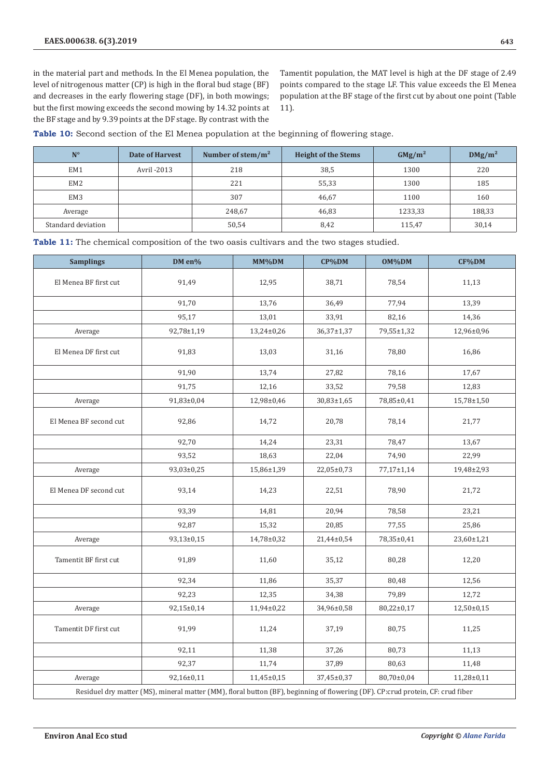in the material part and methods. In the El Menea population, the level of nitrogenous matter (CP) is high in the floral bud stage (BF) and decreases in the early flowering stage (DF), in both mowings; but the first mowing exceeds the second mowing by 14.32 points at the BF stage and by 9.39 points at the DF stage. By contrast with the Tamentit population, the MAT level is high at the DF stage of 2.49 points compared to the stage LF. This value exceeds the El Menea population at the BF stage of the first cut by about one point (Table 11).

**Table 10:** Second section of the El Menea population at the beginning of flowering stage.

| $N^{\circ}$        | Date of Harvest | Number of stem/ $m2$ | <b>Height of the Stems</b> | GMg/m <sup>2</sup> | $DMg/m^2$ |
|--------------------|-----------------|----------------------|----------------------------|--------------------|-----------|
| EM1                | Avril -2013     | 218                  | 38,5                       | 1300               | 220       |
| EM <sub>2</sub>    |                 | 221                  | 55,33                      | 1300               | 185       |
| EM <sub>3</sub>    |                 | 307                  | 46,67                      | 1100               | 160       |
| Average            |                 | 248,67               | 46,83                      | 1233,33            | 188,33    |
| Standard deviation |                 | 50,54                | 8,42                       | 115,47             | 30,14     |

**Table 11:** The chemical composition of the two oasis cultivars and the two stages studied.

| <b>Samplings</b>       | DM en%     | MM%DM          | CP%DM      | OM%DM            | CF%DM          |
|------------------------|------------|----------------|------------|------------------|----------------|
| El Menea BF first cut  | 91,49      | 12,95          | 38,71      | 78,54            | 11,13          |
|                        | 91,70      | 13,76          | 36,49      | 77,94            | 13,39          |
|                        | 95,17      | 13,01          | 33,91      | 82,16            | 14,36          |
| Average                | 92,78±1,19 | 13,24±0,26     | 36,37±1,37 | 79,55±1,32       | 12,96±0,96     |
| El Menea DF first cut  | 91,83      | 13,03          | 31,16      | 78,80            | 16,86          |
|                        | 91,90      | 13,74          | 27,82      | 78,16            | 17,67          |
|                        | 91,75      | 12,16          | 33,52      | 79,58            | 12,83          |
| Average                | 91,83±0,04 | 12,98±0,46     | 30,83±1,65 | 78,85±0,41       | 15,78±1,50     |
| El Menea BF second cut | 92,86      | 14,72          | 20,78      | 78,14            | 21,77          |
|                        | 92,70      | 14,24          | 23,31      | 78,47            | 13,67          |
|                        | 93,52      | 18,63          | 22,04      | 74,90            | 22,99          |
| Average                | 93,03±0,25 | 15,86±1,39     | 22,05±0,73 | $77,17 \pm 1,14$ | 19,48±2,93     |
| El Menea DF second cut | 93,14      | 14,23          | 22,51      | 78,90            | 21,72          |
|                        | 93,39      | 14,81          | 20,94      | 78,58            | 23,21          |
|                        | 92,87      | 15,32          | 20,85      | 77,55            | 25,86          |
| Average                | 93,13±0,15 | 14,78±0,32     | 21,44±0,54 | 78,35±0,41       | 23,60±1,21     |
| Tamentit BF first cut  | 91,89      | 11,60          | 35,12      | 80,28            | 12,20          |
|                        | 92,34      | 11,86          | 35,37      | 80,48            | 12,56          |
|                        | 92,23      | 12,35          | 34,38      | 79,89            | 12,72          |
| Average                | 92,15±0,14 | 11,94±0,22     | 34,96±0,58 | $80,22\pm0,17$   | $12,50\pm0,15$ |
| Tamentit DF first cut  | 91,99      | 11,24          | 37,19      | 80,75            | 11,25          |
|                        | 92,11      | 11,38          | 37,26      | 80,73            | 11,13          |
|                        | 92,37      | 11,74          | 37,89      | 80,63            | 11,48          |
| Average                | 92,16±0,11 | $11,45\pm0,15$ | 37,45±0,37 | 80,70±0,04       | $11,28\pm0,11$ |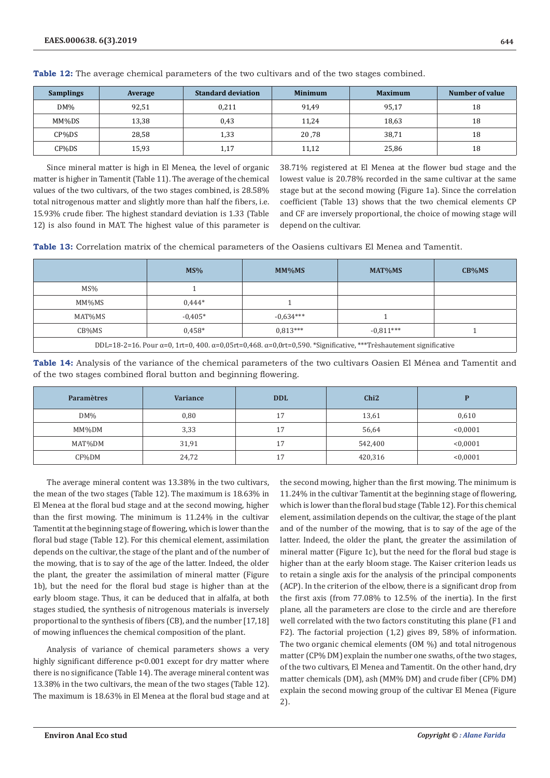| <b>Samplings</b> | Average | <b>Standard deviation</b> | <b>Minimum</b> | <b>Maximum</b> | Number of value |
|------------------|---------|---------------------------|----------------|----------------|-----------------|
| $DM\%$           | 92.51   | 0.211                     | 91,49          | 95,17          | 18              |
| MM%DS            | 13,38   | 0,43                      | 11.24          | 18,63          | 18              |
| CP%DS            | 28,58   | 1,33                      | 20,78          | 38,71          | 18              |
| CF%DS            | 15,93   | 1,17                      | 11,12          | 25,86          | 18              |

**Table 12:** The average chemical parameters of the two cultivars and of the two stages combined.

Since mineral matter is high in El Menea, the level of organic matter is higher in Tamentit (Table 11). The average of the chemical values of the two cultivars, of the two stages combined, is 28.58% total nitrogenous matter and slightly more than half the fibers, i.e. 15.93% crude fiber. The highest standard deviation is 1.33 (Table 12) is also found in MAT. The highest value of this parameter is

38.71% registered at El Menea at the flower bud stage and the lowest value is 20.78% recorded in the same cultivar at the same stage but at the second mowing (Figure 1a). Since the correlation coefficient (Table 13) shows that the two chemical elements CP and CF are inversely proportional, the choice of mowing stage will depend on the cultivar.

| <b>Table 13:</b> Correlation matrix of the chemical parameters of the Oasiens cultivars El Menea and Tamentit. |  |
|----------------------------------------------------------------------------------------------------------------|--|
|----------------------------------------------------------------------------------------------------------------|--|

|                                                                                                                                          | MS%       | $MM\%MS$    | MAT%MS      | $CB\%MS$ |  |  |
|------------------------------------------------------------------------------------------------------------------------------------------|-----------|-------------|-------------|----------|--|--|
| $MS\%$                                                                                                                                   |           |             |             |          |  |  |
| MM%MS                                                                                                                                    | $0.444*$  |             |             |          |  |  |
| MAT%MS                                                                                                                                   | $-0.405*$ | $-0.634***$ |             |          |  |  |
| CB%MS                                                                                                                                    | $0.458*$  | $0.813***$  | $-0.811***$ |          |  |  |
| DDL=18-2=16. Pour $\alpha$ =0, 1rt=0, 400. $\alpha$ =0,05rt=0,468. $\alpha$ =0,0rt=0,590. *Significative, ***Trèshautement significative |           |             |             |          |  |  |

**Table 14:** Analysis of the variance of the chemical parameters of the two cultivars Oasien El Ménea and Tamentit and of the two stages combined floral button and beginning flowering.

| <b>Paramètres</b> | <b>Variance</b> | <b>DDL</b> | Chi2    |          |
|-------------------|-----------------|------------|---------|----------|
| $DM\%$            | 0,80            | 17         | 13,61   | 0,610    |
| MM%DM             | 3,33            | 17         | 56,64   | < 0.0001 |
| MAT%DM            | 31,91           | 17         | 542,400 | < 0.0001 |
| CF%DM             | 24,72           | 17         | 420,316 | < 0.0001 |

The average mineral content was 13.38% in the two cultivars, the mean of the two stages (Table 12). The maximum is 18.63% in El Menea at the floral bud stage and at the second mowing, higher than the first mowing. The minimum is 11.24% in the cultivar Tamentit at the beginning stage of flowering, which is lower than the floral bud stage (Table 12). For this chemical element, assimilation depends on the cultivar, the stage of the plant and of the number of the mowing, that is to say of the age of the latter. Indeed, the older the plant, the greater the assimilation of mineral matter (Figure 1b), but the need for the floral bud stage is higher than at the early bloom stage. Thus, it can be deduced that in alfalfa, at both stages studied, the synthesis of nitrogenous materials is inversely proportional to the synthesis of fibers (CB), and the number [17,18] of mowing influences the chemical composition of the plant.

Analysis of variance of chemical parameters shows a very highly significant difference  $p<0.001$  except for dry matter where there is no significance (Table 14). The average mineral content was 13.38% in the two cultivars, the mean of the two stages (Table 12). The maximum is 18.63% in El Menea at the floral bud stage and at the second mowing, higher than the first mowing. The minimum is 11.24% in the cultivar Tamentit at the beginning stage of flowering, which is lower than the floral bud stage (Table 12). For this chemical element, assimilation depends on the cultivar, the stage of the plant and of the number of the mowing, that is to say of the age of the latter. Indeed, the older the plant, the greater the assimilation of mineral matter (Figure 1c), but the need for the floral bud stage is higher than at the early bloom stage. The Kaiser criterion leads us to retain a single axis for the analysis of the principal components (ACP). In the criterion of the elbow, there is a significant drop from the first axis (from 77.08% to 12.5% of the inertia). In the first plane, all the parameters are close to the circle and are therefore well correlated with the two factors constituting this plane (F1 and F2). The factorial projection (1,2) gives 89, 58% of information. The two organic chemical elements (OM %) and total nitrogenous matter (CP% DM) explain the number one swaths, of the two stages, of the two cultivars, El Menea and Tamentit. On the other hand, dry matter chemicals (DM), ash (MM% DM) and crude fiber (CF% DM) explain the second mowing group of the cultivar El Menea (Figure 2).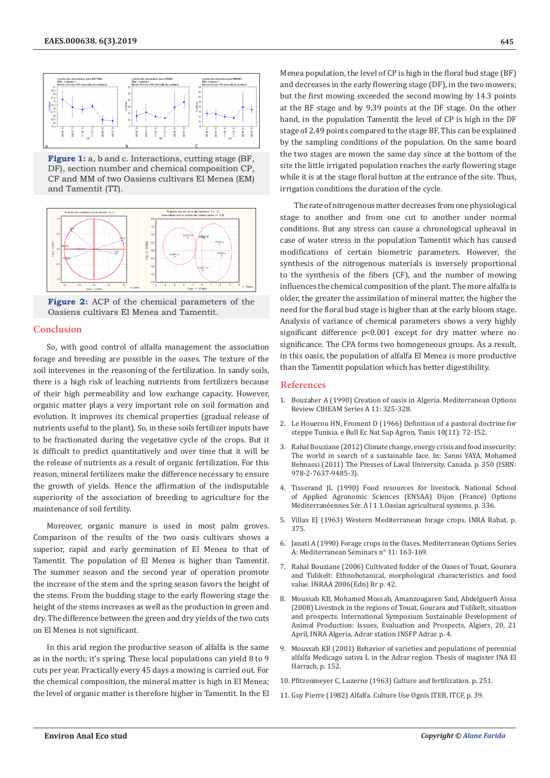

**Figure 1:** a, b and c. Interactions, cutting stage (BF, DF), section number and chemical composition CP, CF and MM of two Oasiens cultivars El Menea (EM) and Tamentit (TT).



**Figure 2:** ACP of the chemical parameters of the Oasiens cultivars El Menea and Tamentit.

#### **Conclusion**

So, with good control of alfalfa management the association forage and breeding are possible in the oases. The texture of the soil intervenes in the reasoning of the fertilization. In sandy soils, there is a high risk of leaching nutrients from fertilizers because of their high permeability and low exchange capacity. However, organic matter plays a very important role on soil formation and evolution. It improves its chemical properties (gradual release of nutrients useful to the plant). So, in these soils fertilizer inputs have to be fractionated during the vegetative cycle of the crops. But it is difficult to predict quantitatively and over time that it will be the release of nutrients as a result of organic fertilization. For this reason, mineral fertilizers make the difference necessary to ensure the growth of yields. Hence the affirmation of the indisputable superiority of the association of breeding to agriculture for the maintenance of soil fertility.

Moreover, organic manure is used in most palm groves. Comparison of the results of the two oasis cultivars shows a superior, rapid and early germination of El Menea to that of Tamentit. The population of El Menea is higher than Tamentit. The summer season and the second year of operation promote the increase of the stem and the spring season favors the height of the stems. From the budding stage to the early flowering stage the height of the stems increases as well as the production in green and dry. The difference between the green and dry yields of the two cuts on El Menea is not significant.

In this arid region the productive season of alfalfa is the same as in the north; it's spring. These local populations can yield 8 to 9 cuts per year. Practically every 45 days a mowing is carried out. For the chemical composition, the mineral matter is high in El Menea; the level of organic matter is therefore higher in Tamentit. In the El Menea population, the level of CP is high in the floral bud stage (BF) and decreases in the early flowering stage (DF), in the two mowers; but the first mowing exceeded the second mowing by 14.3 points at the BF stage and by 9.39 points at the DF stage. On the other hand, in the population Tamentit the level of CP is high in the DF stage of 2.49 points compared to the stage BF. This can be explained by the sampling conditions of the population. On the same board the two stages are mown the same day since at the bottom of the site the little irrigated population reaches the early flowering stage while it is at the stage floral button at the entrance of the site. Thus, irrigation conditions the duration of the cycle.

The rate of nitrogenous matter decreases from one physiological stage to another and from one cut to another under normal conditions. But any stress can cause a chronological upheaval in case of water stress in the population Tamentit which has caused modifications of certain biometric parameters. However, the synthesis of the nitrogenous materials is inversely proportional to the synthesis of the fibers (CF), and the number of mowing influences the chemical composition of the plant. The more alfalfa is older, the greater the assimilation of mineral matter, the higher the need for the floral bud stage is higher than at the early bloom stage. Analysis of variance of chemical parameters shows a very highly significant difference p<0.001 except for dry matter where no significance. The CPA forms two homogeneous groups. As a result, in this oasis, the population of alfalfa El Menea is more productive than the Tamentit population which has better digestibility.

#### **References**

- 1. Bouzaher A (1990) Creation of oasis in Algeria. Mediterranean Options Review CIHEAM Series A 11: 325-328.
- 2. Le Houerou HN, Froment D (1966) Definition of a pastoral doctrine for steppe Tunisia. e Bull Ec Nat Sup Agron, Tunis 10(11): 72-152.
- 3. Rahal Bouziane (2012) Climate change, energy crisis and food insecurity: The world in search of a sustainable face. In: Sanni YAYA, Mohamed Behnassi (2011) The Presses of Laval University, Canada. p. 350 (ISBN: 978-2-7637-9485-3).
- 4. Tisserand JL (1990) Food resources for livestock. National School of Applied Agronomic Sciences (ENSAA) Dijon (France) Options Méditerranéennes Sér. A l 1 1.Oasian agricultural systems. p. 336.
- 5. Villax EJ (1963) Western Mediterranean forage crops. INRA Rabat. p. 375.
- 6. Janati A (1990) Forage crops in the Oases. Mediterranean Options Series A: Mediterranean Seminars n° 11: 163-169.
- 7. Rahal Bouziane (2006) Cultivated fodder of the Oases of Touat, Gourara and Tidikelt: Ethnobotanical, morphological characteristics and food value. INRAA 2006(Edn) Br p. 42.
- 8. Moussab KB, Mohamed Mossab, Amanzougaren Said, Abdelguerfi Aissa (2008) Livestock in the regions of Touat, Gourara and Tidikelt, situation and prospects. International Symposium Sustainable Development of Animal Production: Issues, Evaluation and Prospects, Algiers, 20, 21 April, INRA Algeria, Adrar station INSFP Adrar. p. 4.
- 9. Moussab KB (2001) Behavior of varieties and populations of perennial alfalfa Medicago sativa L in the Adrar region. Thesis of magister INA El Harrach, p. 152.
- 10. Pfitzenmeyer C, Luzerne (1963) Culture and fertilization. p. 251.
- 11. Guy Pierre (1982) Alfalfa. Culture Use Ognis ITEB, ITCF, p. 39.